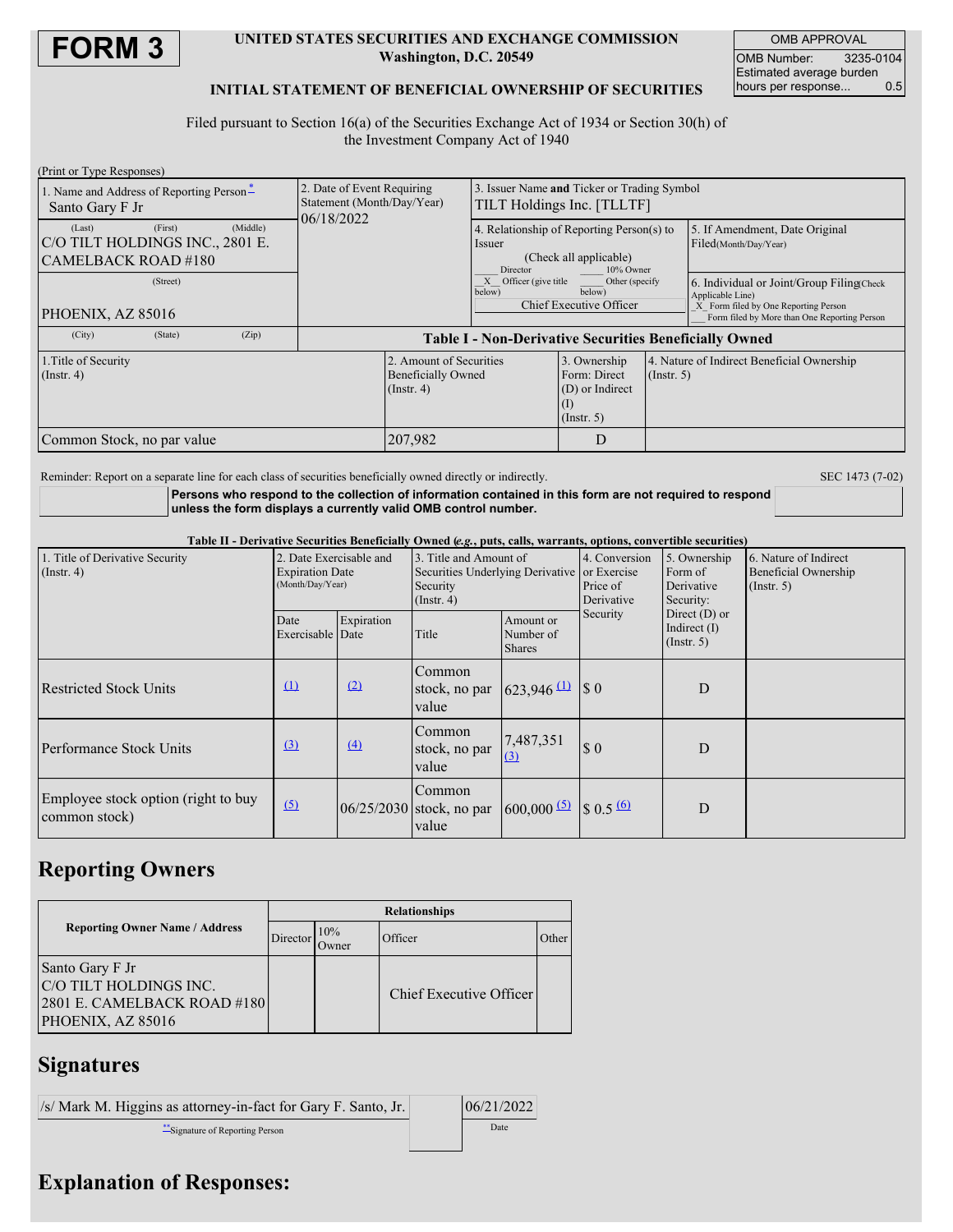

### **UNITED STATES SECURITIES AND EXCHANGE COMMISSION Washington, D.C. 20549**

OMB APPROVAL OMB Number: 3235-0104 Estimated average burden<br>hours per response... 0.5 hours per response...

## **INITIAL STATEMENT OF BENEFICIAL OWNERSHIP OF SECURITIES**

Filed pursuant to Section 16(a) of the Securities Exchange Act of 1934 or Section 30(h) of the Investment Company Act of 1940

| (Print or Type Responses)                |                                                                          |                                                 |                                                                     |                  |                                                                                      |  |
|------------------------------------------|--------------------------------------------------------------------------|-------------------------------------------------|---------------------------------------------------------------------|------------------|--------------------------------------------------------------------------------------|--|
| 1. Name and Address of Reporting Person- | 2. Date of Event Requiring                                               | Issuer Name and Ticker or Trading Symbol        |                                                                     |                  |                                                                                      |  |
| Santo Gary F Jr                          | Statement (Month/Day/Year)<br>06/18/2022                                 | TILT Holdings Inc. [TLLTF]                      |                                                                     |                  |                                                                                      |  |
| (First)<br>(Middle)<br>(Last)            |                                                                          | 4. Relationship of Reporting Person(s) to       |                                                                     |                  | 5. If Amendment, Date Original                                                       |  |
| C/O TILT HOLDINGS INC., 2801 E.          |                                                                          | Issuer                                          |                                                                     |                  | Filed(Month/Day/Year)                                                                |  |
| CAMELBACK ROAD #180                      |                                                                          | (Check all applicable)<br>Director<br>10% Owner |                                                                     |                  |                                                                                      |  |
| (Street)                                 |                                                                          | X Officer (give title<br>below)                 | Other (specify)<br>below)<br>Chief Executive Officer                |                  | 6. Individual or Joint/Group Filing Check<br>Applicable Line)                        |  |
| PHOENIX, AZ 85016                        |                                                                          |                                                 |                                                                     |                  | X Form filed by One Reporting Person<br>Form filed by More than One Reporting Person |  |
| (Zip)<br>(City)<br>(State)               | <b>Table I - Non-Derivative Securities Beneficially Owned</b>            |                                                 |                                                                     |                  |                                                                                      |  |
| 1. Title of Security<br>$($ Instr. 4 $)$ | 2. Amount of Securities<br><b>Beneficially Owned</b><br>$($ Instr. 4 $)$ |                                                 | 3. Ownership<br>Form: Direct<br>(D) or Indirect<br>$($ Instr. 5 $)$ | $($ Instr. 5 $)$ | 4. Nature of Indirect Beneficial Ownership                                           |  |
| Common Stock, no par value               | 207,982                                                                  |                                                 | D                                                                   |                  |                                                                                      |  |

Reminder: Report on a separate line for each class of securities beneficially owned directly or indirectly. SEC 1473 (7-02)

**Persons who respond to the collection of information contained in this form are not required to respond unless the form displays a currently valid OMB control number.**

Table II - Derivative Securities Beneficially Owned (e.g., puts, calls, warrants, options, convertible securities)

| 1. Title of Derivative Security<br>$($ Instr. 4 $)$  | 2. Date Exercisable and<br><b>Expiration Date</b><br>(Month/Day/Year) |            | 3. Title and Amount of<br>Securities Underlying Derivative or Exercise<br>Security<br>$($ Instr. 4 $)$ |                                                | 4. Conversion<br>Price of<br>Derivative | 5. Ownership<br>Form of<br>Derivative<br>Security:    | 6. Nature of Indirect<br><b>Beneficial Ownership</b><br>(Insert. 5) |
|------------------------------------------------------|-----------------------------------------------------------------------|------------|--------------------------------------------------------------------------------------------------------|------------------------------------------------|-----------------------------------------|-------------------------------------------------------|---------------------------------------------------------------------|
|                                                      | Date<br>Exercisable Date                                              | Expiration | Title                                                                                                  | Amount or<br>Number of<br><b>Shares</b>        | Security                                | Direct $(D)$ or<br>Indirect $(I)$<br>$($ Instr. 5 $)$ |                                                                     |
| <b>Restricted Stock Units</b>                        | $\mathbf{u}$                                                          | $\Omega$   | Common<br>stock, no par<br>value                                                                       | 623,946 $(1)$ \$ 0                             |                                         | D                                                     |                                                                     |
| <b>Performance Stock Units</b>                       | $\Omega$                                                              | $\Delta$   | Common<br>stock, no par<br>value                                                                       | 7,487,351                                      | \$0                                     | D                                                     |                                                                     |
| Employee stock option (right to buy<br>common stock) | $\sqrt{2}$                                                            |            | Common<br>$ 06/25/2030 $ stock, no par<br>value                                                        | $600,000 \frac{(5)}{5}$ \$ 0.5 $\frac{(6)}{5}$ |                                         | D                                                     |                                                                     |

## **Reporting Owners**

|                                                                                               | <b>Relationships</b> |              |                         |       |  |
|-----------------------------------------------------------------------------------------------|----------------------|--------------|-------------------------|-------|--|
| <b>Reporting Owner Name / Address</b>                                                         | Director             | 10%<br>Owner | Officer                 | Other |  |
| Santo Gary F Jr<br>C/O TILT HOLDINGS INC.<br>2801 E. CAMELBACK ROAD #180<br>PHOENIX, AZ 85016 |                      |              | Chief Executive Officer |       |  |

# **Signatures**

| $\sqrt{s}$ Mark M. Higgins as attorney-in-fact for Gary F. Santo, Jr. | 06/21/2022 |
|-----------------------------------------------------------------------|------------|
| Signature of Reporting Person                                         | Date       |

# **Explanation of Responses:**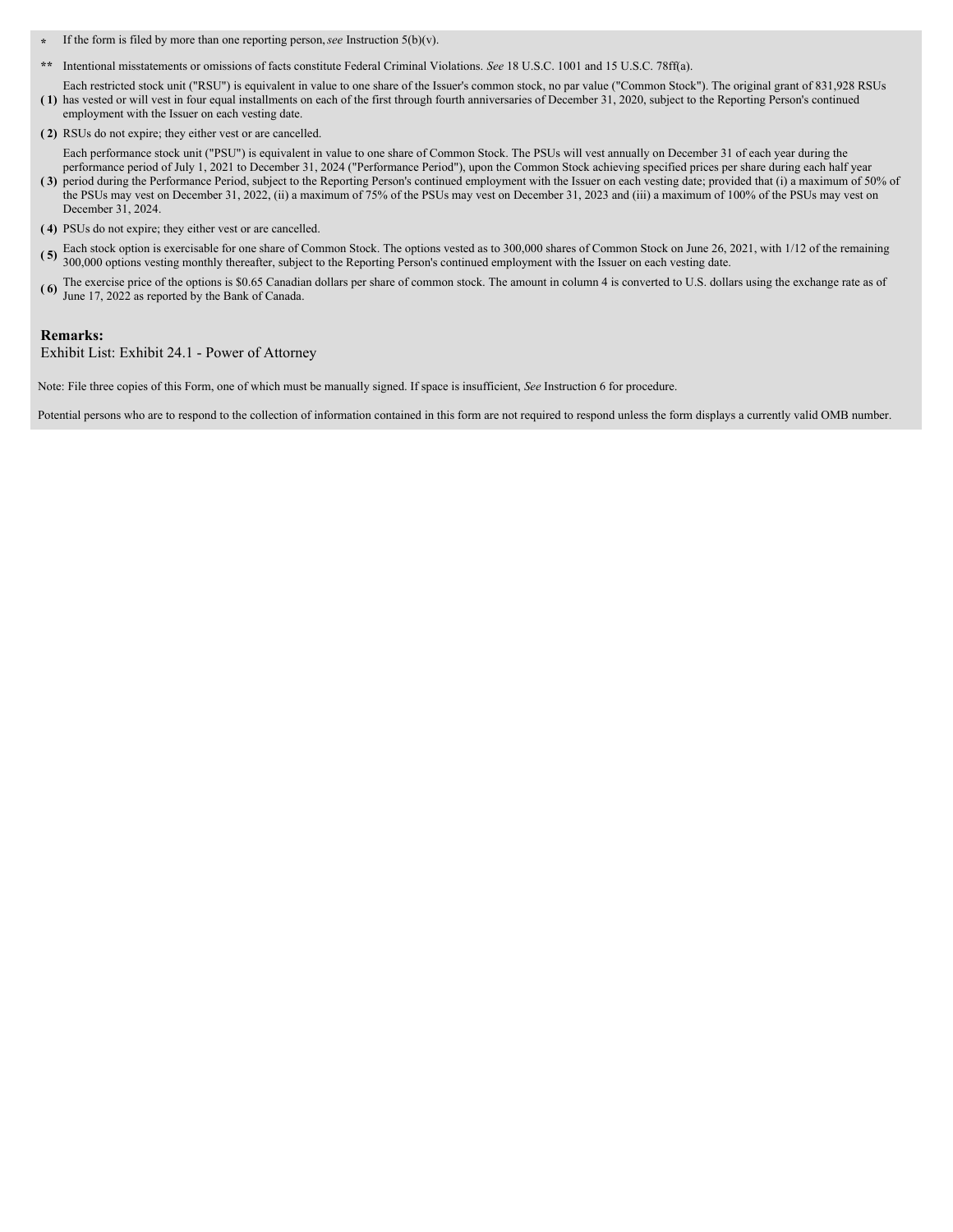- **\*** If the form is filed by more than one reporting person,*see* Instruction 5(b)(v).
- **\*\*** Intentional misstatements or omissions of facts constitute Federal Criminal Violations. *See* 18 U.S.C. 1001 and 15 U.S.C. 78ff(a).

**( 1)** has vested or will vest in four equal installments on each of the first through fourth anniversaries of December 31, 2020, subject to the Reporting Person's continued Each restricted stock unit ("RSU") is equivalent in value to one share of the Issuer's common stock, no par value ("Common Stock"). The original grant of 831,928 RSUs employment with the Issuer on each vesting date.

**( 2)** RSUs do not expire; they either vest or are cancelled.

Each performance stock unit ("PSU") is equivalent in value to one share of Common Stock. The PSUs will vest annually on December 31 of each year during the performance period of July 1, 2021 to December 31, 2024 ("Performance Period"), upon the Common Stock achieving specified prices per share during each half year

- **( 3)** period during the Performance Period, subject to the Reporting Person's continued employment with the Issuer on each vesting date; provided that (i) a maximum of 50% of the PSUs may vest on December 31, 2022, (ii) a maximum of 75% of the PSUs may vest on December 31, 2023 and (iii) a maximum of 100% of the PSUs may vest on December 31, 2024.
- **( 4)** PSUs do not expire; they either vest or are cancelled.
- **( 5)** Each stock option is exercisable for one share of Common Stock. The options vested as to 300,000 shares of Common Stock on June 26, 2021, with 1/12 of the remaining 300,000 options vesting monthly thereafter, subject to the Reporting Person's continued employment with the Issuer on each vesting date.
- **( 6)** The exercise price of the options is \$0.65 Canadian dollars per share of common stock. The amount in column 4 is converted to U.S. dollars using the exchange rate as of June 17, 2022 as reported by the Bank of Canada.

### **Remarks:**

Exhibit List: Exhibit 24.1 - Power of Attorney

Note: File three copies of this Form, one of which must be manually signed. If space is insufficient, *See* Instruction 6 for procedure.

Potential persons who are to respond to the collection of information contained in this form are not required to respond unless the form displays a currently valid OMB number.